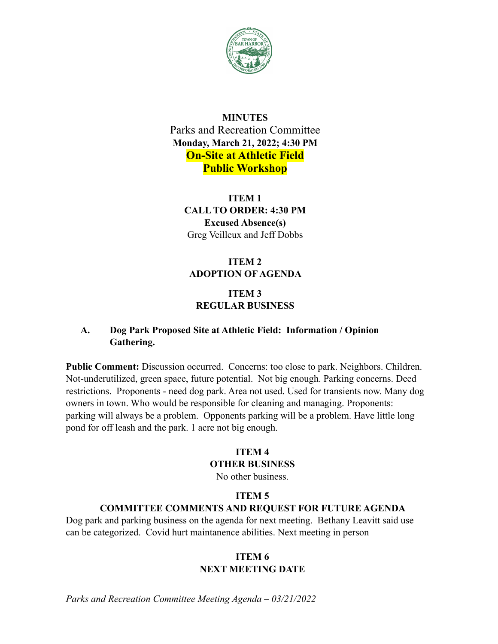

## **MINUTES** Parks and Recreation Committee **Monday, March 21, 2022; 4:30 PM On-Site at Athletic Field Public Workshop**

**ITEM 1 CALL TO ORDER: 4:30 PM Excused Absence(s)** Greg Veilleux and Jeff Dobbs

## **ITEM 2 ADOPTION OF AGENDA**

## **ITEM 3 REGULAR BUSINESS**

## **A. Dog Park Proposed Site at Athletic Field: Information / Opinion Gathering.**

**Public Comment:** Discussion occurred. Concerns: too close to park. Neighbors. Children. Not-underutilized, green space, future potential. Not big enough. Parking concerns. Deed restrictions. Proponents - need dog park. Area not used. Used for transients now. Many dog owners in town. Who would be responsible for cleaning and managing. Proponents: parking will always be a problem. Opponents parking will be a problem. Have little long pond for off leash and the park. 1 acre not big enough.

# **ITEM 4**

## **OTHER BUSINESS**

No other business.

#### **ITEM 5**

#### **COMMITTEE COMMENTS AND REQUEST FOR FUTURE AGENDA**

Dog park and parking business on the agenda for next meeting. Bethany Leavitt said use can be categorized. Covid hurt maintanence abilities. Next meeting in person

### **ITEM 6 NEXT MEETING DATE**

*Parks and Recreation Committee Meeting Agenda – 03/21/2022*